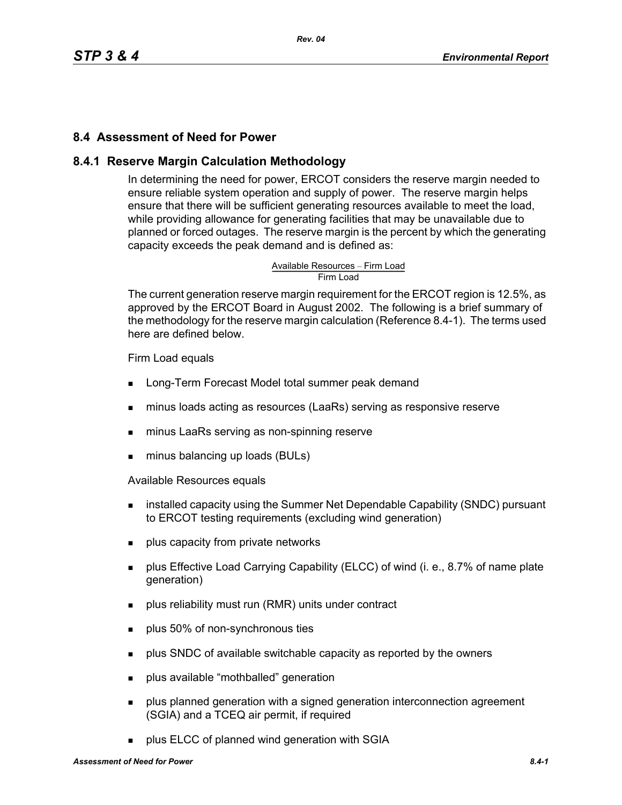### **8.4 Assessment of Need for Power**

### **8.4.1 Reserve Margin Calculation Methodology**

In determining the need for power, ERCOT considers the reserve margin needed to ensure reliable system operation and supply of power. The reserve margin helps ensure that there will be sufficient generating resources available to meet the load, while providing allowance for generating facilities that may be unavailable due to planned or forced outages. The reserve margin is the percent by which the generating capacity exceeds the peak demand and is defined as:

Available Resources – Firm Load<br>Firm Load

The current generation reserve margin requirement for the ERCOT region is 12.5%, as approved by the ERCOT Board in August 2002. The following is a brief summary of the methodology for the reserve margin calculation (Reference 8.4-1). The terms used here are defined below.

Firm Load equals

- **Long-Term Forecast Model total summer peak demand**
- minus loads acting as resources (LaaRs) serving as responsive reserve
- **numinus LaaRs serving as non-spinning reserve**
- **minus balancing up loads (BULs)**

Available Resources equals

- **EXEDENT** installed capacity using the Summer Net Dependable Capability (SNDC) pursuant to ERCOT testing requirements (excluding wind generation)
- **plus capacity from private networks**
- **Property Effective Load Carrying Capability (ELCC) of wind (i. e., 8.7% of name plate** generation)
- **Produs reliability must run (RMR) units under contract**
- **plus 50% of non-synchronous ties**
- **Propelled** SNDC of available switchable capacity as reported by the owners
- **plus available "mothballed" generation**
- **Property** plus planned generation with a signed generation interconnection agreement (SGIA) and a TCEQ air permit, if required
- plus ELCC of planned wind generation with SGIA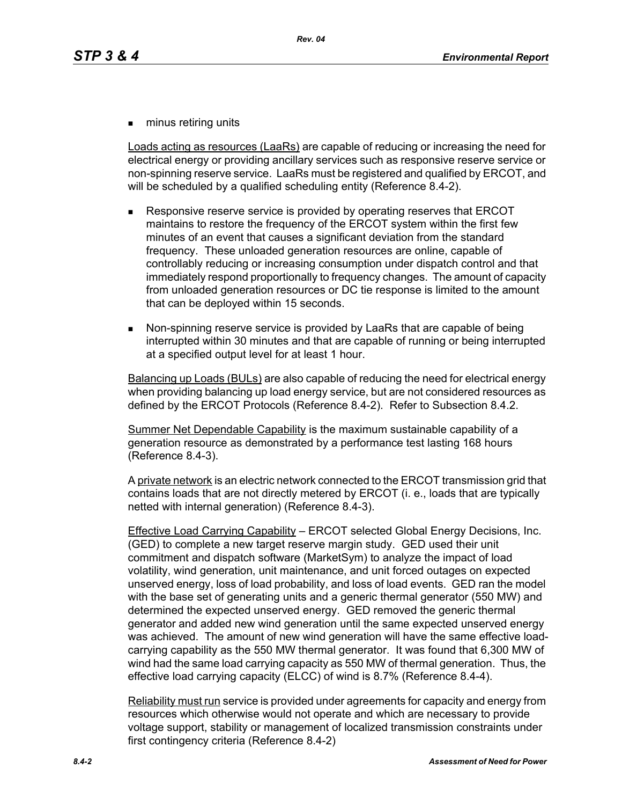**numinus retiring units** 

Loads acting as resources (LaaRs) are capable of reducing or increasing the need for electrical energy or providing ancillary services such as responsive reserve service or non-spinning reserve service. LaaRs must be registered and qualified by ERCOT, and will be scheduled by a qualified scheduling entity (Reference 8.4-2).

- Responsive reserve service is provided by operating reserves that ERCOT maintains to restore the frequency of the ERCOT system within the first few minutes of an event that causes a significant deviation from the standard frequency. These unloaded generation resources are online, capable of controllably reducing or increasing consumption under dispatch control and that immediately respond proportionally to frequency changes. The amount of capacity from unloaded generation resources or DC tie response is limited to the amount that can be deployed within 15 seconds.
- Non-spinning reserve service is provided by LaaRs that are capable of being interrupted within 30 minutes and that are capable of running or being interrupted at a specified output level for at least 1 hour.

Balancing up Loads (BULs) are also capable of reducing the need for electrical energy when providing balancing up load energy service, but are not considered resources as defined by the ERCOT Protocols (Reference 8.4-2). Refer to Subsection 8.4.2.

Summer Net Dependable Capability is the maximum sustainable capability of a generation resource as demonstrated by a performance test lasting 168 hours (Reference 8.4-3).

A private network is an electric network connected to the ERCOT transmission grid that contains loads that are not directly metered by ERCOT (i. e., loads that are typically netted with internal generation) (Reference 8.4-3).

Effective Load Carrying Capability – ERCOT selected Global Energy Decisions, Inc. (GED) to complete a new target reserve margin study. GED used their unit commitment and dispatch software (MarketSym) to analyze the impact of load volatility, wind generation, unit maintenance, and unit forced outages on expected unserved energy, loss of load probability, and loss of load events. GED ran the model with the base set of generating units and a generic thermal generator (550 MW) and determined the expected unserved energy. GED removed the generic thermal generator and added new wind generation until the same expected unserved energy was achieved. The amount of new wind generation will have the same effective loadcarrying capability as the 550 MW thermal generator. It was found that 6,300 MW of wind had the same load carrying capacity as 550 MW of thermal generation. Thus, the effective load carrying capacity (ELCC) of wind is 8.7% (Reference 8.4-4).

Reliability must run service is provided under agreements for capacity and energy from resources which otherwise would not operate and which are necessary to provide voltage support, stability or management of localized transmission constraints under first contingency criteria (Reference 8.4-2)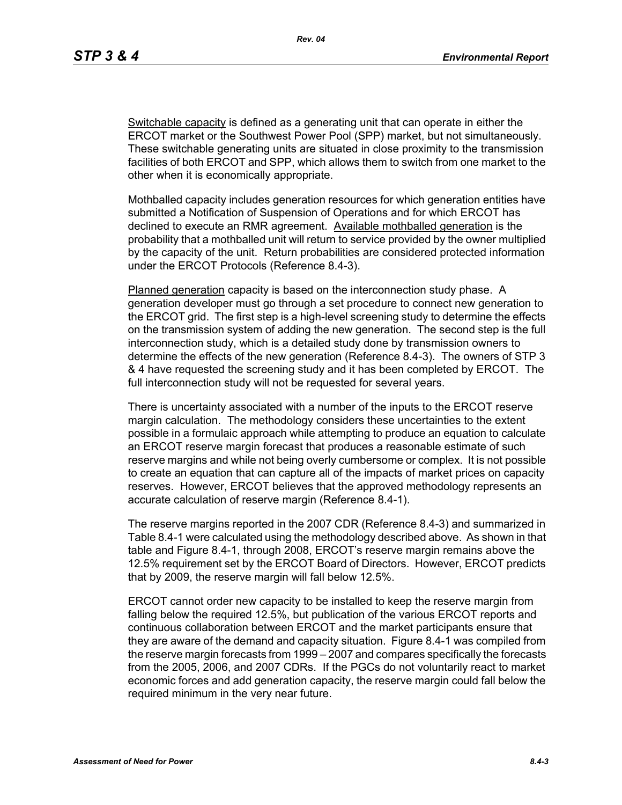Switchable capacity is defined as a generating unit that can operate in either the ERCOT market or the Southwest Power Pool (SPP) market, but not simultaneously. These switchable generating units are situated in close proximity to the transmission facilities of both ERCOT and SPP, which allows them to switch from one market to the other when it is economically appropriate.

Mothballed capacity includes generation resources for which generation entities have submitted a Notification of Suspension of Operations and for which ERCOT has declined to execute an RMR agreement. Available mothballed generation is the probability that a mothballed unit will return to service provided by the owner multiplied by the capacity of the unit. Return probabilities are considered protected information under the ERCOT Protocols (Reference 8.4-3).

Planned generation capacity is based on the interconnection study phase. A generation developer must go through a set procedure to connect new generation to the ERCOT grid. The first step is a high-level screening study to determine the effects on the transmission system of adding the new generation. The second step is the full interconnection study, which is a detailed study done by transmission owners to determine the effects of the new generation (Reference 8.4-3). The owners of STP 3 & 4 have requested the screening study and it has been completed by ERCOT. The full interconnection study will not be requested for several years.

There is uncertainty associated with a number of the inputs to the ERCOT reserve margin calculation. The methodology considers these uncertainties to the extent possible in a formulaic approach while attempting to produce an equation to calculate an ERCOT reserve margin forecast that produces a reasonable estimate of such reserve margins and while not being overly cumbersome or complex. It is not possible to create an equation that can capture all of the impacts of market prices on capacity reserves. However, ERCOT believes that the approved methodology represents an accurate calculation of reserve margin (Reference 8.4-1).

The reserve margins reported in the 2007 CDR (Reference 8.4-3) and summarized in Table 8.4-1 were calculated using the methodology described above. As shown in that table and Figure 8.4-1, through 2008, ERCOT's reserve margin remains above the 12.5% requirement set by the ERCOT Board of Directors. However, ERCOT predicts that by 2009, the reserve margin will fall below 12.5%.

ERCOT cannot order new capacity to be installed to keep the reserve margin from falling below the required 12.5%, but publication of the various ERCOT reports and continuous collaboration between ERCOT and the market participants ensure that they are aware of the demand and capacity situation. Figure 8.4-1 was compiled from the reserve margin forecasts from 1999 – 2007 and compares specifically the forecasts from the 2005, 2006, and 2007 CDRs. If the PGCs do not voluntarily react to market economic forces and add generation capacity, the reserve margin could fall below the required minimum in the very near future.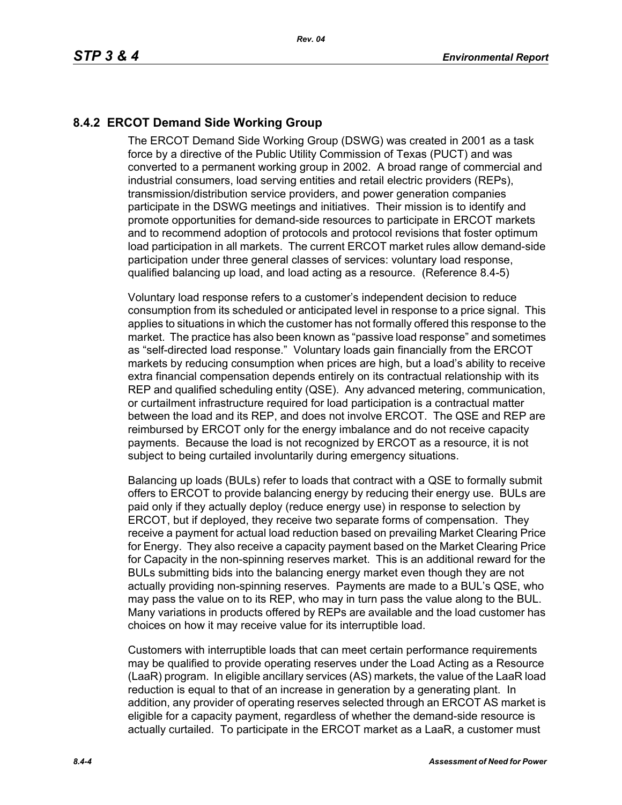# **8.4.2 ERCOT Demand Side Working Group**

The ERCOT Demand Side Working Group (DSWG) was created in 2001 as a task force by a directive of the Public Utility Commission of Texas (PUCT) and was converted to a permanent working group in 2002. A broad range of commercial and industrial consumers, load serving entities and retail electric providers (REPs), transmission/distribution service providers, and power generation companies participate in the DSWG meetings and initiatives. Their mission is to identify and promote opportunities for demand-side resources to participate in ERCOT markets and to recommend adoption of protocols and protocol revisions that foster optimum load participation in all markets. The current ERCOT market rules allow demand-side participation under three general classes of services: voluntary load response, qualified balancing up load, and load acting as a resource. (Reference 8.4-5)

Voluntary load response refers to a customer's independent decision to reduce consumption from its scheduled or anticipated level in response to a price signal. This applies to situations in which the customer has not formally offered this response to the market. The practice has also been known as "passive load response" and sometimes as "self-directed load response." Voluntary loads gain financially from the ERCOT markets by reducing consumption when prices are high, but a load's ability to receive extra financial compensation depends entirely on its contractual relationship with its REP and qualified scheduling entity (QSE). Any advanced metering, communication, or curtailment infrastructure required for load participation is a contractual matter between the load and its REP, and does not involve ERCOT. The QSE and REP are reimbursed by ERCOT only for the energy imbalance and do not receive capacity payments. Because the load is not recognized by ERCOT as a resource, it is not subject to being curtailed involuntarily during emergency situations.

Balancing up loads (BULs) refer to loads that contract with a QSE to formally submit offers to ERCOT to provide balancing energy by reducing their energy use. BULs are paid only if they actually deploy (reduce energy use) in response to selection by ERCOT, but if deployed, they receive two separate forms of compensation. They receive a payment for actual load reduction based on prevailing Market Clearing Price for Energy. They also receive a capacity payment based on the Market Clearing Price for Capacity in the non-spinning reserves market. This is an additional reward for the BULs submitting bids into the balancing energy market even though they are not actually providing non-spinning reserves. Payments are made to a BUL's QSE, who may pass the value on to its REP, who may in turn pass the value along to the BUL. Many variations in products offered by REPs are available and the load customer has choices on how it may receive value for its interruptible load.

Customers with interruptible loads that can meet certain performance requirements may be qualified to provide operating reserves under the Load Acting as a Resource (LaaR) program. In eligible ancillary services (AS) markets, the value of the LaaR load reduction is equal to that of an increase in generation by a generating plant. In addition, any provider of operating reserves selected through an ERCOT AS market is eligible for a capacity payment, regardless of whether the demand-side resource is actually curtailed. To participate in the ERCOT market as a LaaR, a customer must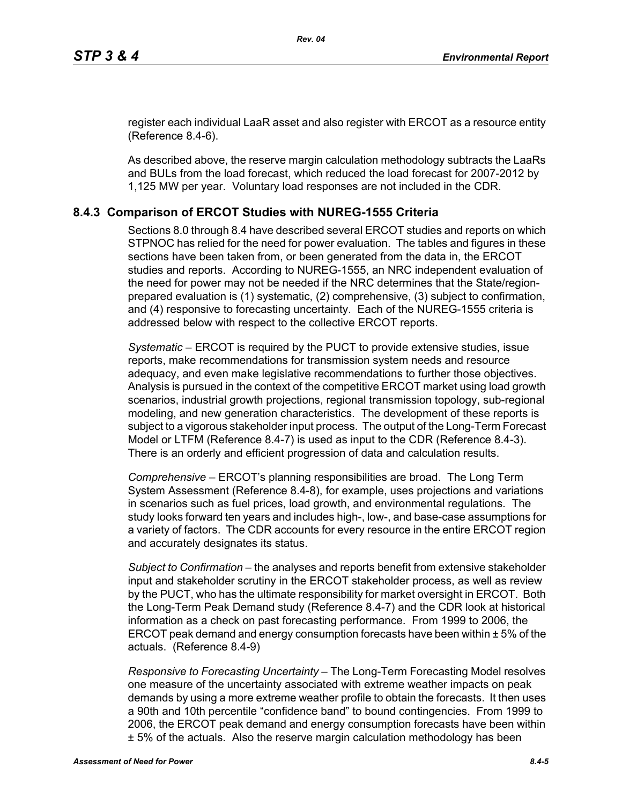[register each individual LaaR asset and also register with ERCOT as a resource entity](http://www.ercot.com/services/rq/re/index.html)  (Reference 8.4-6).

As described above, the reserve margin calculation methodology subtracts the LaaRs and BULs from the load forecast, which reduced the load forecast for 2007-2012 by 1,125 MW per year. Voluntary load responses are not included in the CDR.

### **8.4.3 Comparison of ERCOT Studies with NUREG-1555 Criteria**

Sections 8.0 through 8.4 have described several ERCOT studies and reports on which STPNOC has relied for the need for power evaluation. The tables and figures in these sections have been taken from, or been generated from the data in, the ERCOT studies and reports. According to NUREG-1555, an NRC independent evaluation of the need for power may not be needed if the NRC determines that the State/regionprepared evaluation is (1) systematic, (2) comprehensive, (3) subject to confirmation, and (4) responsive to forecasting uncertainty. Each of the NUREG-1555 criteria is addressed below with respect to the collective ERCOT reports.

*Systematic* – ERCOT is required by the PUCT to provide extensive studies, issue reports, make recommendations for transmission system needs and resource adequacy, and even make legislative recommendations to further those objectives. Analysis is pursued in the context of the competitive ERCOT market using load growth scenarios, industrial growth projections, regional transmission topology, sub-regional modeling, and new generation characteristics. The development of these reports is subject to a vigorous stakeholder input process. The output of the Long-Term Forecast Model or LTFM (Reference 8.4-7) is used as input to the CDR (Reference 8.4-3). There is an orderly and efficient progression of data and calculation results.

*Comprehensive* – ERCOT's planning responsibilities are broad. The Long Term System Assessment (Reference 8.4-8), for example, uses projections and variations in scenarios such as fuel prices, load growth, and environmental regulations. The study looks forward ten years and includes high-, low-, and base-case assumptions for a variety of factors. The CDR accounts for every resource in the entire ERCOT region and accurately designates its status.

*Subject to Confirmation* – the analyses and reports benefit from extensive stakeholder input and stakeholder scrutiny in the ERCOT stakeholder process, as well as review by the PUCT, who has the ultimate responsibility for market oversight in ERCOT. Both the Long-Term Peak Demand study (Reference 8.4-7) and the CDR look at historical information as a check on past forecasting performance. From 1999 to 2006, the ERCOT peak demand and energy consumption forecasts have been within ± 5% of the actuals. (Reference 8.4-9)

*Responsive to Forecasting Uncertainty* – The Long-Term Forecasting Model resolves one measure of the uncertainty associated with extreme weather impacts on peak demands by using a more extreme weather profile to obtain the forecasts. It then uses a 90th and 10th percentile "confidence band" to bound contingencies. From 1999 to 2006, the ERCOT peak demand and energy consumption forecasts have been within ± 5% of the actuals. Also the reserve margin calculation methodology has been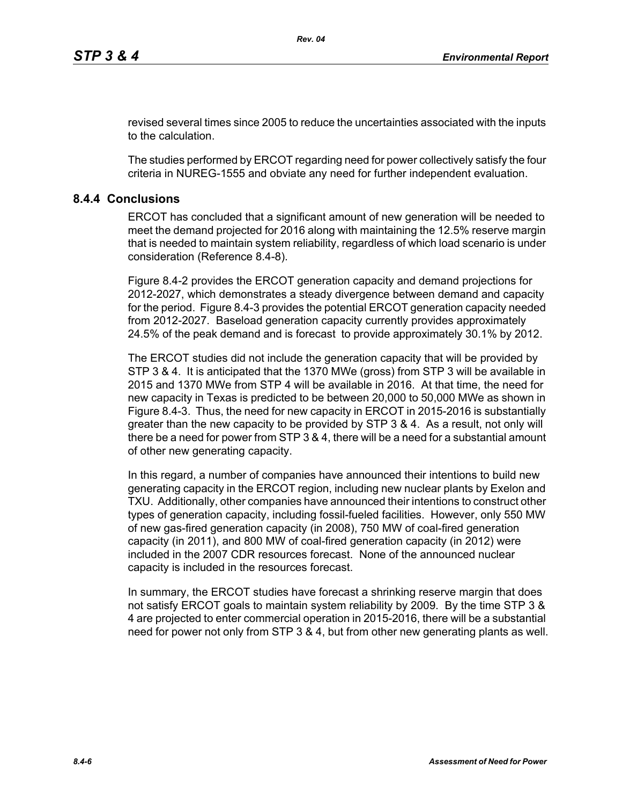revised several times since 2005 to reduce the uncertainties associated with the inputs to the calculation.

The studies performed by ERCOT regarding need for power collectively satisfy the four criteria in NUREG-1555 and obviate any need for further independent evaluation.

### **8.4.4 Conclusions**

ERCOT has concluded that a significant amount of new generation will be needed to meet the demand projected for 2016 along with maintaining the 12.5% reserve margin that is needed to maintain system reliability, regardless of which load scenario is under consideration (Reference 8.4-8).

Figure 8.4-2 provides the ERCOT generation capacity and demand projections for 2012-2027, which demonstrates a steady divergence between demand and capacity for the period. Figure 8.4-3 provides the potential ERCOT generation capacity needed from 2012-2027. Baseload generation capacity currently provides approximately 24.5% of the peak demand and is forecast to provide approximately 30.1% by 2012.

The ERCOT studies did not include the generation capacity that will be provided by STP 3 & 4. It is anticipated that the 1370 MWe (gross) from STP 3 will be available in 2015 and 1370 MWe from STP 4 will be available in 2016. At that time, the need for new capacity in Texas is predicted to be between 20,000 to 50,000 MWe as shown in Figure 8.4-3. Thus, the need for new capacity in ERCOT in 2015-2016 is substantially greater than the new capacity to be provided by STP 3 & 4. As a result, not only will there be a need for power from STP 3 & 4, there will be a need for a substantial amount of other new generating capacity.

In this regard, a number of companies have announced their intentions to build new generating capacity in the ERCOT region, including new nuclear plants by Exelon and TXU. Additionally, other companies have announced their intentions to construct other types of generation capacity, including fossil-fueled facilities. However, only 550 MW of new gas-fired generation capacity (in 2008), 750 MW of coal-fired generation capacity (in 2011), and 800 MW of coal-fired generation capacity (in 2012) were included in the 2007 CDR resources forecast. None of the announced nuclear capacity is included in the resources forecast.

In summary, the ERCOT studies have forecast a shrinking reserve margin that does not satisfy ERCOT goals to maintain system reliability by 2009. By the time STP 3 & 4 are projected to enter commercial operation in 2015-2016, there will be a substantial need for power not only from STP 3 & 4, but from other new generating plants as well.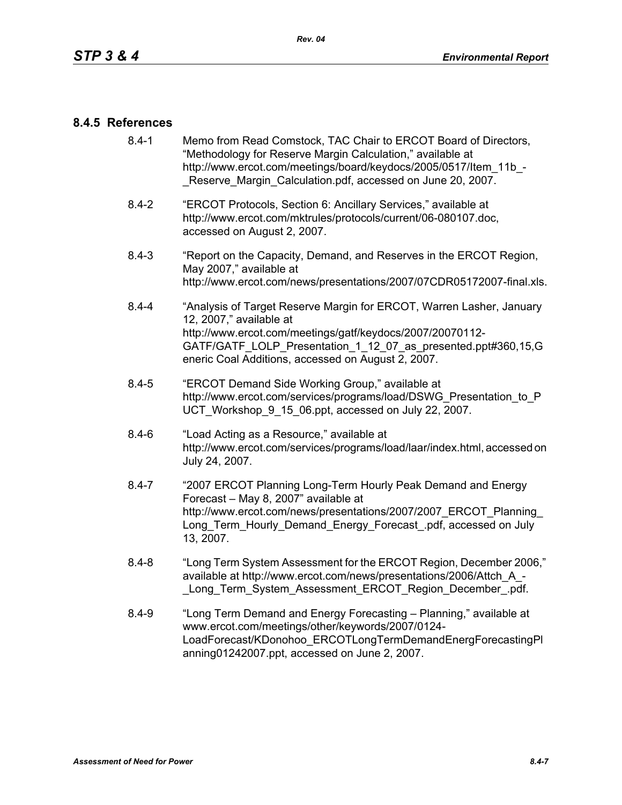### **8.4.5 References**

- [8.4-1 Memo from Read Comstock, TAC Chair to ERCOT Board of Directors,](http://www.ercot.com/meetings/board/keydocs/2005/0517/Item_11b_-_Reserve_Margin_Calculation.pdf)  "Methodology for Reserve Margin Calculation," available at http://www.ercot.com/meetings/board/keydocs/2005/0517/Item\_11b\_-Reserve Margin Calculation.pdf, accessed on June 20, 2007.
- [8.4-2 "ERCOT Protocols, Section 6: Ancillary Services," available at](http://www.ercot.com/mktrules/protocols/current/06-080107.doc)  http://www.ercot.com/mktrules/protocols/current/06-080107.doc, accessed on August 2, 2007.
- 8.4-3 "Report on the Capacity, Demand, and Reserves in the ERCOT Region, May 2007," available at http://www.ercot.com/news/presentations/2007/07CDR05172007-final.xls.
- 8.4-4 "Analysis of Target Reserve Margin for ERCOT, Warren Lasher, January 12, 2007," available at http://www.ercot.com/meetings/gatf/keydocs/2007/20070112- GATF/GATF\_LOLP\_Presentation\_1\_12\_07\_as\_presented.ppt#360,15,G eneric Coal Additions, accessed on August 2, 2007.
- 8.4-5 "ERCOT Demand Side Working Group," available at [http://www.ercot.com/services/programs/load/DSWG\\_Presentation\\_to\\_P](http://www.ercot.com/services/programs/load/DSWG_Presentation_to_PUCT_Workshop_9_15_06.ppt) UCT\_Workshop\_9\_15\_06.ppt, accessed on July 22, 2007.
- 8.4-6 "Load Acting as a Resource," available at [http://www.ercot.com/services/programs/load/laar/index.html, accessed on](http://www.ercot.com/services/programs/load/laar/index.html)  July 24, 2007.
- [8.4-7 "2007 ERCOT Planning Long-Term Hourly Peak Demand and Energy](http://www.ercot.com/news/presentations/2007/2007_ERCOT_Planning_Long_Term_Hourly_Demand_Energy_Forecast_.pdf)  Forecast – May 8, 2007" available at http://www.ercot.com/news/presentations/2007/2007\_ERCOT\_Planning Long Term Hourly Demand Energy Forecast .pdf, accessed on July 13, 2007.
- 8.4-8 "Long Term System Assessment for the ERCOT Region, December 2006," available at http://www.ercot.com/news/presentations/2006/Attch\_A\_- Long Term System Assessment ERCOT Region December .pdf.
- 8.4-9 ["Long Term Demand and Energy Forecasting Planning," available at](http://www.ercot.com/meetings/other/keywords/2007/0124-LoadForecast/KDonohoo_ERCOTLongTermDemandEnergForecastingPlanning01242007.ppt)  www.ercot.com/meetings/other/keywords/2007/0124- [LoadForecast/KDonohoo\\_ERCOTLongTermDemandEnergForecastingPl](http://www.ercot.com/meetings/other/keywords/2007/0124-LoadForecast/KDonohoo_ERCOTLongTermDemandEnergForecastingPlanning01242007.ppt) [anning01242007.ppt, accessed on June 2, 2007.](http://www.ercot.com/meetings/other/keywords/2007/0124-LoadForecast/KDonohoo_ERCOTLongTermDemandEnergForecastingPlanning01242007.ppt)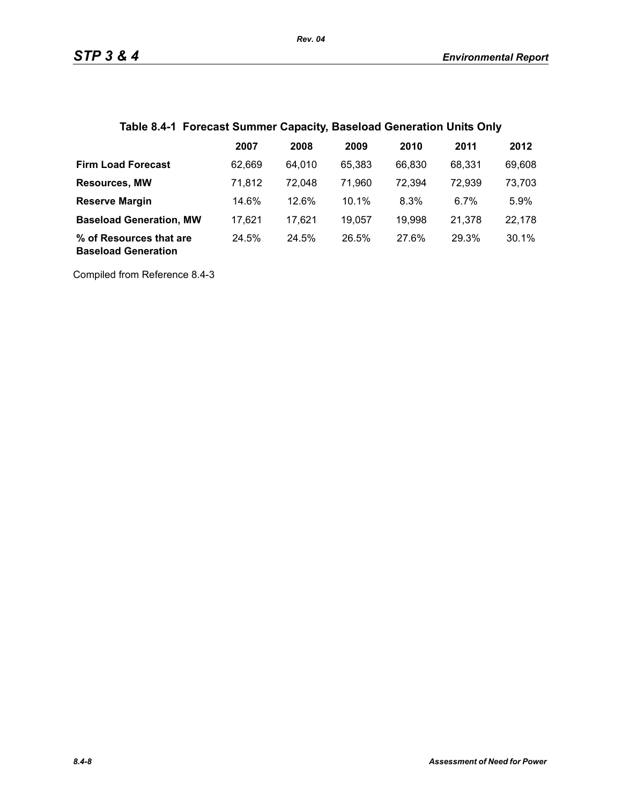# **Table 8.4-1 Forecast Summer Capacity, Baseload Generation Units Only**

|                                                       | 2007   | 2008   | 2009   | 2010   | 2011   | 2012   |
|-------------------------------------------------------|--------|--------|--------|--------|--------|--------|
| <b>Firm Load Forecast</b>                             | 62.669 | 64.010 | 65.383 | 66,830 | 68.331 | 69,608 |
| <b>Resources, MW</b>                                  | 71,812 | 72.048 | 71.960 | 72,394 | 72,939 | 73,703 |
| <b>Reserve Margin</b>                                 | 14.6%  | 12.6%  | 10.1%  | 8.3%   | 6.7%   | 5.9%   |
| <b>Baseload Generation, MW</b>                        | 17.621 | 17.621 | 19,057 | 19,998 | 21,378 | 22,178 |
| % of Resources that are<br><b>Baseload Generation</b> | 24.5%  | 24.5%  | 26.5%  | 27.6%  | 29.3%  | 30.1%  |

Compiled from Reference 8.4-3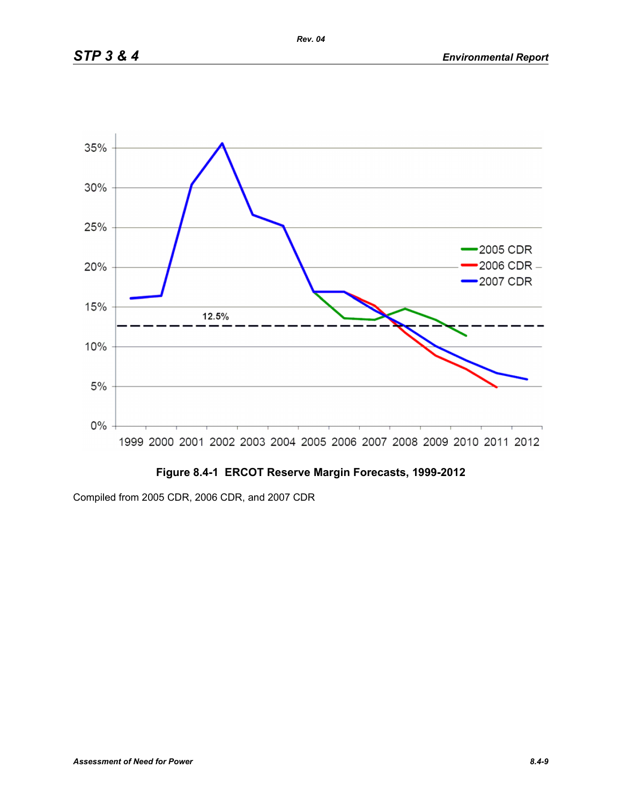

# **Figure 8.4-1 ERCOT Reserve Margin Forecasts, 1999-2012**

Compiled from 2005 CDR, 2006 CDR, and 2007 CDR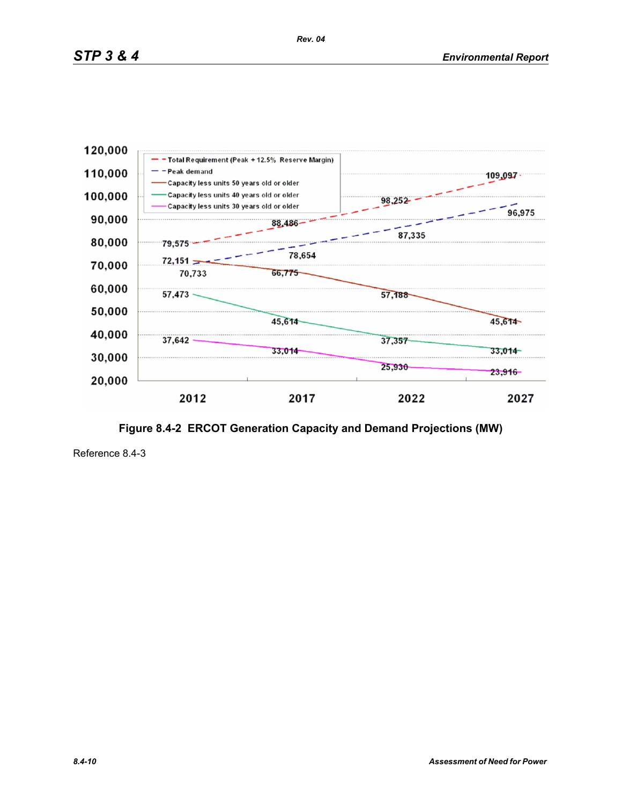

**Figure 8.4-2 ERCOT Generation Capacity and Demand Projections (MW)**

Reference 8.4-3